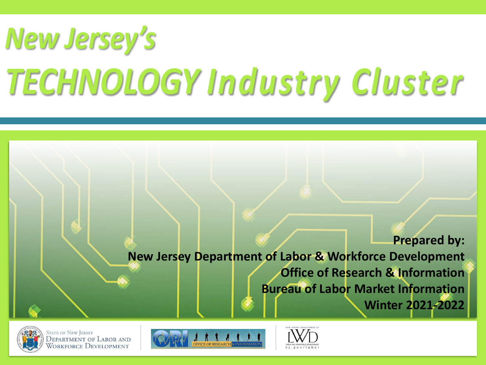# **New Jersey's TECHNOLOGY** I EGNIVOLOGI I

**Prepared by: New Jersey Department of Labor & Workforce Development Office of Research & Information Bureau of Labor Market Information Winter 2021-2022**



**STATE OF NEW JERSEY DEPARTMENT OF LABOR AND** Workforce Development



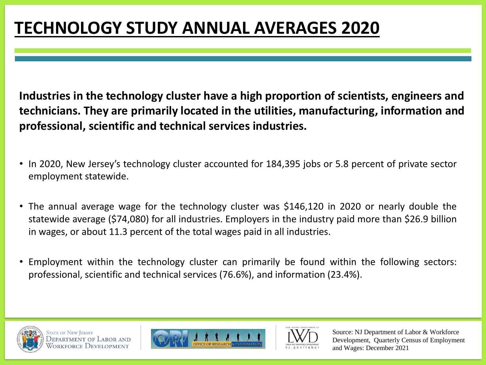## **TECHNOLOGY STUDY ANNUAL AVERAGES 2020**

**Industries in the technology cluster have a high proportion of scientists, engineers and technicians. They are primarily located in the utilities, manufacturing, information and professional, scientific and technical services industries.**

- In 2020, New Jersey's technology cluster accounted for 184,395 jobs or 5.8 percent of private sector employment statewide.
- The annual average wage for the technology cluster was \$146,120 in 2020 or nearly double the statewide average (\$74,080) for all industries. Employers in the industry paid more than \$26.9 billion in wages, or about 11.3 percent of the total wages paid in all industries.
- Employment within the technology cluster can primarily be found within the following sectors: professional, scientific and technical services (76.6%), and information (23.4%).







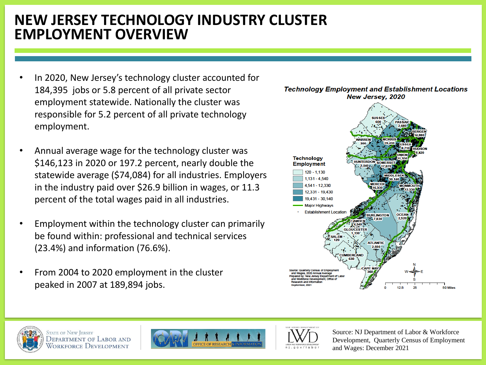#### **NEW JERSEY TECHNOLOGY INDUSTRY CLUSTER EMPLOYMENT OVERVIEW**

- In 2020, New Jersey's technology cluster accounted for 184,395 jobs or 5.8 percent of all private sector employment statewide. Nationally the cluster was responsible for 5.2 percent of all private technology employment.
- Annual average wage for the technology cluster was \$146,123 in 2020 or 197.2 percent, nearly double the statewide average (\$74,084) for all industries. Employers in the industry paid over \$26.9 billion in wages, or 11.3 percent of the total wages paid in all industries.
- Employment within the technology cluster can primarily be found within: professional and technical services (23.4%) and information (76.6%).
- From 2004 to 2020 employment in the cluster peaked in 2007 at 189,894 jobs.



**Technology Employment and Establishment Locations** 



**STATE OF NEW JERSEY** DEPARTMENT OF LABOR AND Workforce Development



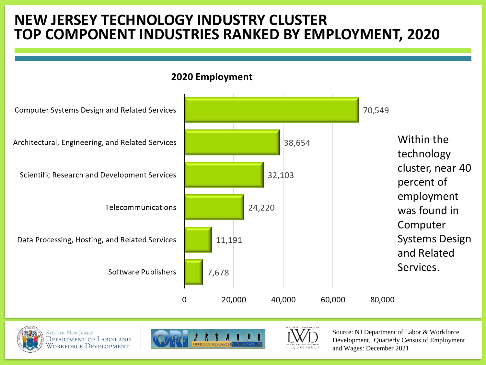### **NEW JERSEY TECHNOLOGY INDUSTRY CLUSTER TOP COMPONENT INDUSTRIES RANKED BY EMPLOYMENT, 2020**





**STATE OF NEW JERSEY DEPARTMENT OF LABOR AND** WORKFORCE DEVELOPMENT



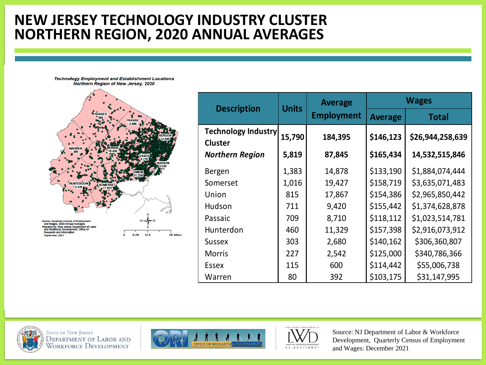### **NEW JERSEY TECHNOLOGY INDUSTRY CLUSTER NORTHERN REGION, 2020 ANNUAL AVERAGES**





| <b>Description</b>                           | <b>Units</b> | <b>Average</b><br><b>Employment</b> | <b>Wages</b>   |                  |
|----------------------------------------------|--------------|-------------------------------------|----------------|------------------|
|                                              |              |                                     | <b>Average</b> | <b>Total</b>     |
| <b>Technology Industry</b><br><b>Cluster</b> | 15,790       | 184,395                             | \$146,123      | \$26,944,258,639 |
| <b>Northern Region</b>                       | 5,819        | 87,845                              | \$165,434      | 14,532,515,846   |
| Bergen                                       | 1,383        | 14,878                              | \$133,190      | \$1,884,074,444  |
| Somerset                                     | 1,016        | 19,427                              | \$158,719      | \$3,635,071,483  |
| Union                                        | 815          | 17,867                              | \$154,386      | \$2,965,850,442  |
| Hudson                                       | 711          | 9,420                               | \$155,442      | \$1,374,628,878  |
| Passaic                                      | 709          | 8,710                               | \$118,112      | \$1,023,514,781  |
| Hunterdon                                    | 460          | 11,329                              | \$157,398      | \$2,916,073,912  |
| <b>Sussex</b>                                | 303          | 2,680                               | \$140,162      | \$306,360,807    |
| <b>Morris</b>                                | 227          | 2,542                               | \$125,000      | \$340,786,366    |
| <b>Essex</b>                                 | 115          | 600                                 | \$114,442      | \$55,006,738     |
| Warren                                       | 80           | 392                                 | \$103,175      | \$31,147,995     |







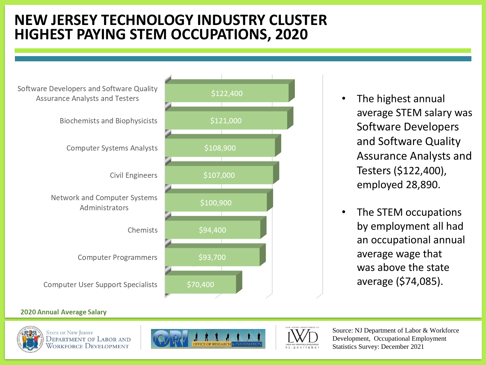### **NEW JERSEY TECHNOLOGY INDUSTRY CLUSTER HIGHEST PAYING STEM OCCUPATIONS, 2020**



- The highest annual average STEM salary was Software Developers and Software Quality Assurance Analysts and Testers (\$122,400), employed 28,890.
- The STEM occupations by employment all had an occupational annual average wage that was above the state average (\$74,085).

#### **2020 Annual Average Salary**



**STATE OF NEW JERSEY** DEPARTMENT OF LABOR AND WORKFORCE DEVELOPMENT





Source: NJ Department of Labor & Workforce Development, Occupational Employment Statistics Survey: December 2021